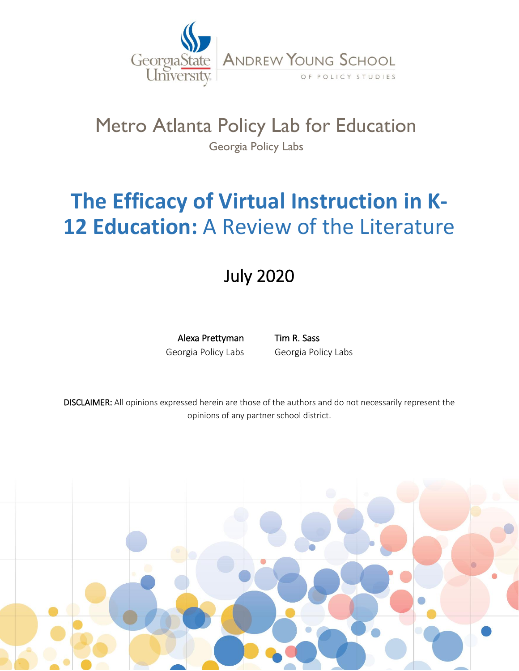

## Metro Atlanta Policy Lab for Education Georgia Policy Labs

# **The Efficacy of Virtual Instruction in K-12 Education:** A Review of the Literature

# July 2020

Alexa Prettyman Georgia Policy Labs

Tim R. Sass Georgia Policy Labs

DISCLAIMER: All opinions expressed herein are those of the authors and do not necessarily represent the opinions of any partner school district.

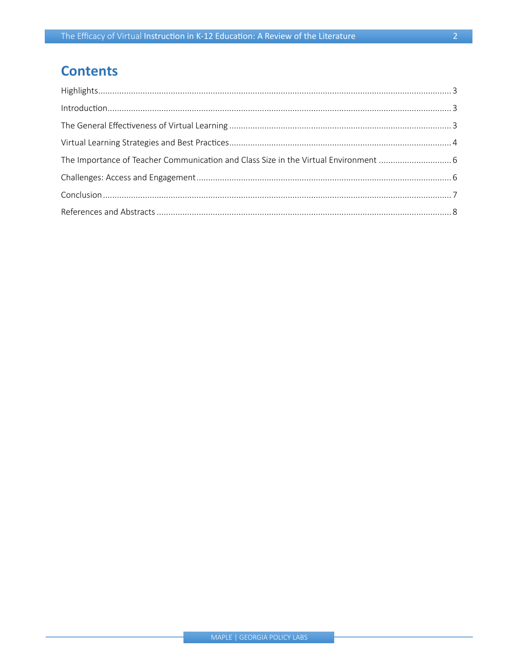## **Contents**

| The Importance of Teacher Communication and Class Size in the Virtual Environment  6 |  |
|--------------------------------------------------------------------------------------|--|
|                                                                                      |  |
|                                                                                      |  |
|                                                                                      |  |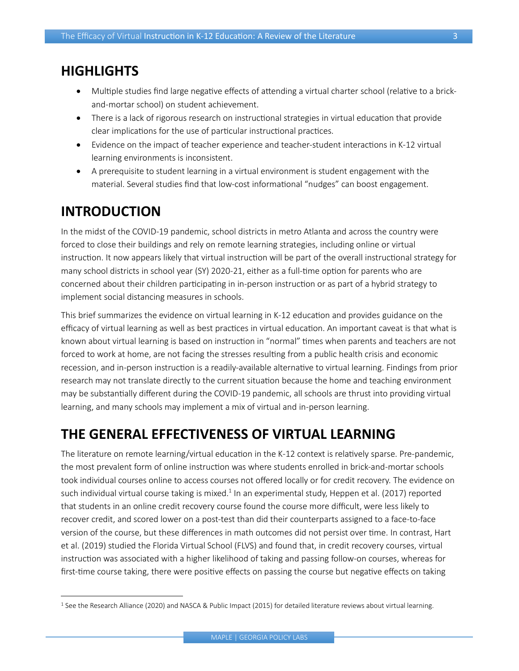#### <span id="page-2-0"></span>**HIGHLIGHTS**

- Multiple studies find large negative effects of attending a virtual charter school (relative to a brickand-mortar school) on student achievement.
- There is a lack of rigorous research on instructional strategies in virtual education that provide clear implications for the use of particular instructional practices.
- Evidence on the impact of teacher experience and teacher-student interactions in K-12 virtual learning environments is inconsistent.
- A prerequisite to student learning in a virtual environment is student engagement with the material. Several studies find that low-cost informational "nudges" can boost engagement.

### <span id="page-2-1"></span>**INTRODUCTION**

In the midst of the COVID-19 pandemic, school districts in metro Atlanta and across the country were forced to close their buildings and rely on remote learning strategies, including online or virtual instruction. It now appears likely that virtual instruction will be part of the overall instructional strategy for many school districts in school year (SY) 2020-21, either as a full-time option for parents who are concerned about their children participating in in-person instruction or as part of a hybrid strategy to implement social distancing measures in schools.

This brief summarizes the evidence on virtual learning in K-12 education and provides guidance on the efficacy of virtual learning as well as best practices in virtual education. An important caveat is that what is known about virtual learning is based on instruction in "normal" times when parents and teachers are not forced to work at home, are not facing the stresses resulting from a public health crisis and economic recession, and in-person instruction is a readily-available alternative to virtual learning. Findings from prior research may not translate directly to the current situation because the home and teaching environment may be substantially different during the COVID-19 pandemic, all schools are thrust into providing virtual learning, and many schools may implement a mix of virtual and in-person learning.

### <span id="page-2-2"></span>**THE GENERAL EFFECTIVENESS OF VIRTUAL LEARNING**

The literature on remote learning/virtual education in the K-12 context is relatively sparse. Pre-pandemic, the most prevalent form of online instruction was where students enrolled in brick-and-mortar schools took individual courses online to access courses not offered locally or for credit recovery. The evidence on such individual virtual course taking is mixed.<sup>1</sup> In an experimental study, Heppen et al. (2017) reported that students in an online credit recovery course found the course more difficult, were less likely to recover credit, and scored lower on a post-test than did their counterparts assigned to a face-to-face version of the course, but these differences in math outcomes did not persist over time. In contrast, Hart et al. (2019) studied the Florida Virtual School (FLVS) and found that, in credit recovery courses, virtual instruction was associated with a higher likelihood of taking and passing follow-on courses, whereas for first-time course taking, there were positive effects on passing the course but negative effects on taking

<sup>&</sup>lt;sup>1</sup> See the Research Alliance (2020) and NASCA & Public Impact (2015) for detailed literature reviews about virtual learning.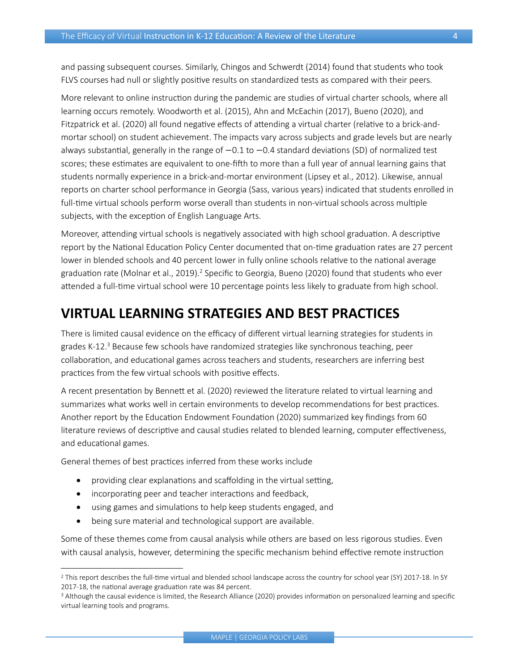and passing subsequent courses. Similarly, Chingos and Schwerdt (2014) found that students who took FLVS courses had null or slightly positive results on standardized tests as compared with their peers.

More relevant to online instruction during the pandemic are studies of virtual charter schools, where all learning occurs remotely. Woodworth et al. (2015), Ahn and McEachin (2017), Bueno (2020), and Fitzpatrick et al. (2020) all found negative effects of attending a virtual charter (relative to a brick-andmortar school) on student achievement. The impacts vary across subjects and grade levels but are nearly always substantial, generally in the range of -0.1 to -0.4 standard deviations (SD) of normalized test scores; these estimates are equivalent to one-fifth to more than a full year of annual learning gains that students normally experience in a brick-and-mortar environment (Lipsey et al., 2012). Likewise, annual reports on charter school performance in Georgia (Sass, various years) indicated that students enrolled in full-time virtual schools perform worse overall than students in non-virtual schools across multiple subjects, with the exception of English Language Arts.

Moreover, attending virtual schools is negatively associated with high school graduation. A descriptive report by the National Education Policy Center documented that on-time graduation rates are 27 percent lower in blended schools and 40 percent lower in fully online schools relative to the national average graduation rate (Molnar et al., 2019).<sup>2</sup> Specific to Georgia, Bueno (2020) found that students who ever attended a full-time virtual school were 10 percentage points less likely to graduate from high school.

#### <span id="page-3-0"></span>**VIRTUAL LEARNING STRATEGIES AND BEST PRACTICES**

There is limited causal evidence on the efficacy of different virtual learning strategies for students in grades K-12.<sup>3</sup> Because few schools have randomized strategies like synchronous teaching, peer collaboration, and educational games across teachers and students, researchers are inferring best practices from the few virtual schools with positive effects.

A recent presentation by Bennett et al. (2020) reviewed the literature related to virtual learning and summarizes what works well in certain environments to develop recommendations for best practices. Another report by the Education Endowment Foundation (2020) summarized key findings from 60 literature reviews of descriptive and causal studies related to blended learning, computer effectiveness, and educational games.

General themes of best practices inferred from these works include

- providing clear explanations and scaffolding in the virtual setting,
- incorporating peer and teacher interactions and feedback,
- using games and simulations to help keep students engaged, and
- being sure material and technological support are available.

Some of these themes come from causal analysis while others are based on less rigorous studies. Even with causal analysis, however, determining the specific mechanism behind effective remote instruction

<sup>2</sup> This report describes the full-time virtual and blended school landscape across the country for school year (SY) 2017-18. In SY 2017-18, the national average graduation rate was 84 percent.

<sup>&</sup>lt;sup>3</sup> Although the causal evidence is limited, the Research Alliance (2020) provides information on personalized learning and specific virtual learning tools and programs.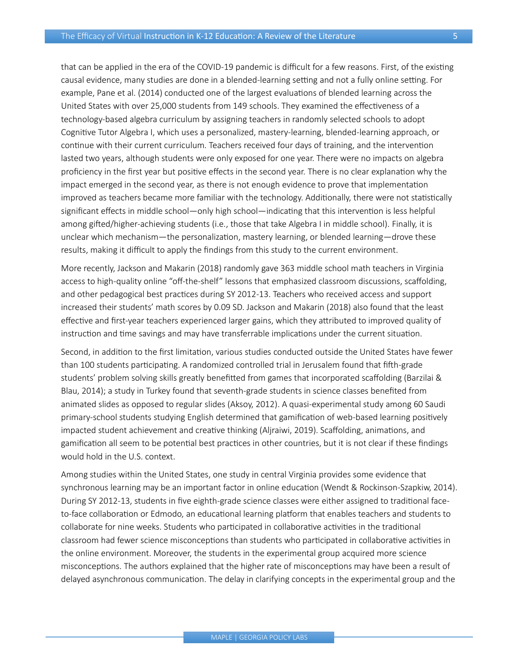that can be applied in the era of the COVID-19 pandemic is difficult for a few reasons. First, of the existing causal evidence, many studies are done in a blended-learning setting and not a fully online setting. For example, Pane et al. (2014) conducted one of the largest evaluations of blended learning across the United States with over 25,000 students from 149 schools. They examined the effectiveness of a technology-based algebra curriculum by assigning teachers in randomly selected schools to adopt Cognitive Tutor Algebra I, which uses a personalized, mastery-learning, blended-learning approach, or continue with their current curriculum. Teachers received four days of training, and the intervention lasted two years, although students were only exposed for one year. There were no impacts on algebra proficiency in the first year but positive effects in the second year. There is no clear explanation why the impact emerged in the second year, as there is not enough evidence to prove that implementation improved as teachers became more familiar with the technology. Additionally, there were not statistically significant effects in middle school—only high school—indicating that this intervention is less helpful among gifted/higher-achieving students (i.e., those that take Algebra I in middle school). Finally, it is unclear which mechanism—the personalization, mastery learning, or blended learning—drove these results, making it difficult to apply the findings from this study to the current environment.

More recently, Jackson and Makarin (2018) randomly gave 363 middle school math teachers in Virginia access to high-quality online "off-the-shelf" lessons that emphasized classroom discussions, scaffolding, and other pedagogical best practices during SY 2012-13. Teachers who received access and support increased their students' math scores by 0.09 SD. Jackson and Makarin (2018) also found that the least effective and first-year teachers experienced larger gains, which they attributed to improved quality of instruction and time savings and may have transferrable implications under the current situation.

Second, in addition to the first limitation, various studies conducted outside the United States have fewer than 100 students participating. A randomized controlled trial in Jerusalem found that fifth-grade students' problem solving skills greatly benefitted from games that incorporated scaffolding (Barzilai & Blau, 2014); a study in Turkey found that seventh-grade students in science classes benefited from animated slides as opposed to regular slides (Aksoy, 2012). A quasi-experimental study among 60 Saudi primary-school students studying English determined that gamification of web-based learning positively impacted student achievement and creative thinking (Aljraiwi, 2019). Scaffolding, animations, and gamification all seem to be potential best practices in other countries, but it is not clear if these findings would hold in the U.S. context.

Among studies within the United States, one study in central Virginia provides some evidence that synchronous learning may be an important factor in online education (Wendt & Rockinson-Szapkiw, 2014). During SY 2012-13, students in five eighth-grade science classes were either assigned to traditional faceto-face collaboration or Edmodo, an educational learning platform that enables teachers and students to collaborate for nine weeks. Students who participated in collaborative activities in the traditional classroom had fewer science misconceptions than students who participated in collaborative activities in the online environment. Moreover, the students in the experimental group acquired more science misconceptions. The authors explained that the higher rate of misconceptions may have been a result of delayed asynchronous communication. The delay in clarifying concepts in the experimental group and the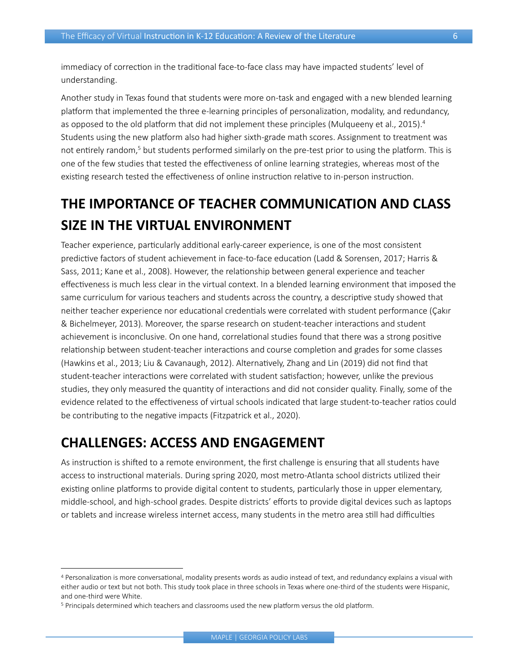immediacy of correction in the traditional face-to-face class may have impacted students' level of understanding.

Another study in Texas found that students were more on-task and engaged with a new blended learning platform that implemented the three e-learning principles of personalization, modality, and redundancy, as opposed to the old platform that did not implement these principles (Mulqueeny et al., 2015). 4 Students using the new platform also had higher sixth-grade math scores. Assignment to treatment was not entirely random,<sup>5</sup> but students performed similarly on the pre-test prior to using the platform. This is one of the few studies that tested the effectiveness of online learning strategies, whereas most of the existing research tested the effectiveness of online instruction relative to in-person instruction.

## <span id="page-5-0"></span>**THE IMPORTANCE OF TEACHER COMMUNICATION AND CLASS SIZE IN THE VIRTUAL ENVIRONMENT**

Teacher experience, particularly additional early-career experience, is one of the most consistent predictive factors of student achievement in face-to-face education (Ladd & Sorensen, 2017; Harris & Sass, 2011; Kane et al., 2008). However, the relationship between general experience and teacher effectiveness is much less clear in the virtual context. In a blended learning environment that imposed the same curriculum for various teachers and students across the country, a descriptive study showed that neither teacher experience nor educational credentials were correlated with student performance (Çakır & Bichelmeyer, 2013). Moreover, the sparse research on student-teacher interactions and student achievement is inconclusive. On one hand, correlational studies found that there was a strong positive relationship between student-teacher interactions and course completion and grades for some classes (Hawkins et al., 2013; Liu & Cavanaugh, 2012). Alternatively, Zhang and Lin (2019) did not find that student-teacher interactions were correlated with student satisfaction; however, unlike the previous studies, they only measured the quantity of interactions and did not consider quality. Finally, some of the evidence related to the effectiveness of virtual schools indicated that large student-to-teacher ratios could be contributing to the negative impacts (Fitzpatrick et al., 2020).

#### <span id="page-5-1"></span>**CHALLENGES: ACCESS AND ENGAGEMENT**

As instruction is shifted to a remote environment, the first challenge is ensuring that all students have access to instructional materials. During spring 2020, most metro-Atlanta school districts utilized their existing online platforms to provide digital content to students, particularly those in upper elementary, middle-school, and high-school grades. Despite districts' efforts to provide digital devices such as laptops or tablets and increase wireless internet access, many students in the metro area still had difficulties

<sup>4</sup> Personalization is more conversational, modality presents words as audio instead of text, and redundancy explains a visual with either audio or text but not both. This study took place in three schools in Texas where one-third of the students were Hispanic, and one-third were White.

<sup>5</sup> Principals determined which teachers and classrooms used the new platform versus the old platform.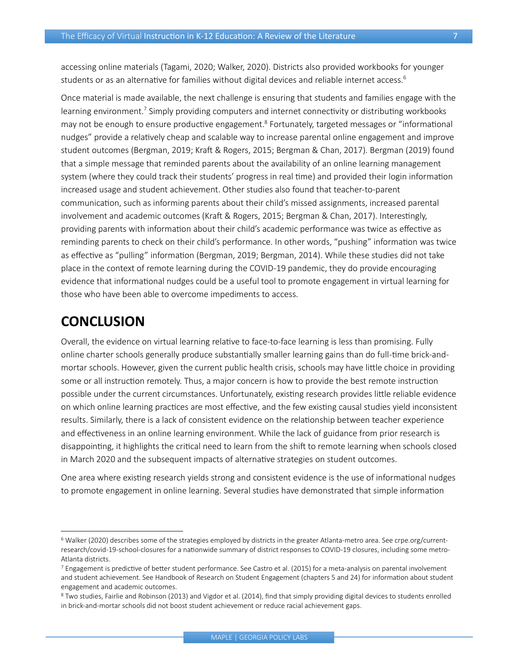accessing online materials (Tagami, 2020; Walker, 2020). Districts also provided workbooks for younger students or as an alternative for families without digital devices and reliable internet access.<sup>6</sup>

Once material is made available, the next challenge is ensuring that students and families engage with the learning environment.<sup>7</sup> Simply providing computers and internet connectivity or distributing workbooks may not be enough to ensure productive engagement.<sup>8</sup> Fortunately, targeted messages or "informational nudges" provide a relatively cheap and scalable way to increase parental online engagement and improve student outcomes (Bergman, 2019; Kraft & Rogers, 2015; Bergman & Chan, 2017). Bergman (2019) found that a simple message that reminded parents about the availability of an online learning management system (where they could track their students' progress in real time) and provided their login information increased usage and student achievement. Other studies also found that teacher-to-parent communication, such as informing parents about their child's missed assignments, increased parental involvement and academic outcomes (Kraft & Rogers, 2015; Bergman & Chan, 2017). Interestingly, providing parents with information about their child's academic performance was twice as effective as reminding parents to check on their child's performance. In other words, "pushing" information was twice as effective as "pulling" information (Bergman, 2019; Bergman, 2014). While these studies did not take place in the context of remote learning during the COVID-19 pandemic, they do provide encouraging evidence that informational nudges could be a useful tool to promote engagement in virtual learning for those who have been able to overcome impediments to access.

#### <span id="page-6-0"></span>**CONCLUSION**

Overall, the evidence on virtual learning relative to face-to-face learning is less than promising. Fully online charter schools generally produce substantially smaller learning gains than do full-time brick-andmortar schools. However, given the current public health crisis, schools may have little choice in providing some or all instruction remotely. Thus, a major concern is how to provide the best remote instruction possible under the current circumstances. Unfortunately, existing research provides little reliable evidence on which online learning practices are most effective, and the few existing causal studies yield inconsistent results. Similarly, there is a lack of consistent evidence on the relationship between teacher experience and effectiveness in an online learning environment. While the lack of guidance from prior research is disappointing, it highlights the critical need to learn from the shift to remote learning when schools closed in March 2020 and the subsequent impacts of alternative strategies on student outcomes.

One area where existing research yields strong and consistent evidence is the use of informational nudges to promote engagement in online learning. Several studies have demonstrated that simple information

<sup>6</sup> Walker (2020) describes some of the strategies employed by districts in the greater Atlanta-metro area. See [crpe.org/current](https://www.crpe.org/current-research/covid-19-school-closures)[research/covid-19-school-closures](https://www.crpe.org/current-research/covid-19-school-closures) for a nationwide summary of district responses to COVID-19 closures, including some metro-Atlanta districts.

 $7$  Engagement is predictive of better student performance. See Castro et al. (2015) for a meta-analysis on parental involvement and student achievement. See Handbook of Research on Student Engagement (chapters 5 and 24) for information about student engagement and academic outcomes.

<sup>8</sup> Two studies, Fairlie and Robinson (2013) and Vigdor et al. (2014), find that simply providing digital devices to students enrolled in brick-and-mortar schools did not boost student achievement or reduce racial achievement gaps.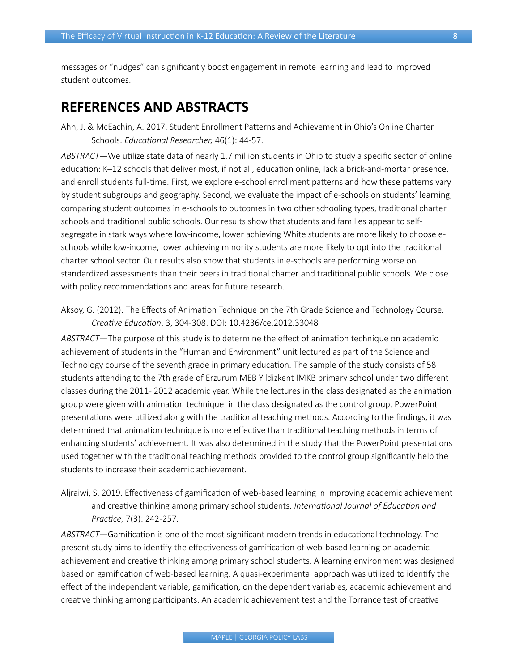messages or "nudges" can significantly boost engagement in remote learning and lead to improved student outcomes.

#### <span id="page-7-0"></span>**REFERENCES AND ABSTRACTS**

Ahn, J. & McEachin, A. 2017. Student Enrollment Patterns and Achievement in Ohio's Online Charter Schools. *Educational Researcher,* 46(1): 44-57.

*ABSTRACT*—We utilize state data of nearly 1.7 million students in Ohio to study a specific sector of online education: K–12 schools that deliver most, if not all, education online, lack a brick-and-mortar presence, and enroll students full-time. First, we explore e-school enrollment patterns and how these patterns vary by student subgroups and geography. Second, we evaluate the impact of e-schools on students' learning, comparing student outcomes in e-schools to outcomes in two other schooling types, traditional charter schools and traditional public schools. Our results show that students and families appear to selfsegregate in stark ways where low-income, lower achieving White students are more likely to choose eschools while low-income, lower achieving minority students are more likely to opt into the traditional charter school sector. Our results also show that students in e-schools are performing worse on standardized assessments than their peers in traditional charter and traditional public schools. We close with policy recommendations and areas for future research.

Aksoy, G. (2012). The Effects of Animation Technique on the 7th Grade Science and Technology Course. *Creative Education*, 3, 304-308. [DOI: 10.4236/ce.2012.33048](https://www.researchgate.net/publication/276489669_The_Effects_of_Animation_Technique_on_the_7th_Grade_Science_and_Technology_Course)

*ABSTRACT*—The purpose of this study is to determine the effect of animation technique on academic achievement of students in the "Human and Environment" unit lectured as part of the Science and Technology course of the seventh grade in primary education. The sample of the study consists of 58 students attending to the 7th grade of Erzurum MEB Yildizkent IMKB primary school under two different classes during the 2011- 2012 academic year. While the lectures in the class designated as the animation group were given with animation technique, in the class designated as the control group, PowerPoint presentations were utilized along with the traditional teaching methods. According to the findings, it was determined that animation technique is more effective than traditional teaching methods in terms of enhancing students' achievement. It was also determined in the study that the PowerPoint presentations used together with the traditional teaching methods provided to the control group significantly help the students to increase their academic achievement.

Aljraiwi, S. 2019. Effectiveness of gamification of web-based learning in improving academic achievement and creative thinking among primary school students. *International Journal of Education and Practice,* 7(3): 242-257.

*ABSTRACT*—Gamification is one of the most significant modern trends in educational technology. The present study aims to identify the effectiveness of gamification of web-based learning on academic achievement and creative thinking among primary school students. A learning environment was designed based on gamification of web-based learning. A quasi-experimental approach was utilized to identify the effect of the independent variable, gamification, on the dependent variables, academic achievement and creative thinking among participants. An academic achievement test and the Torrance test of creative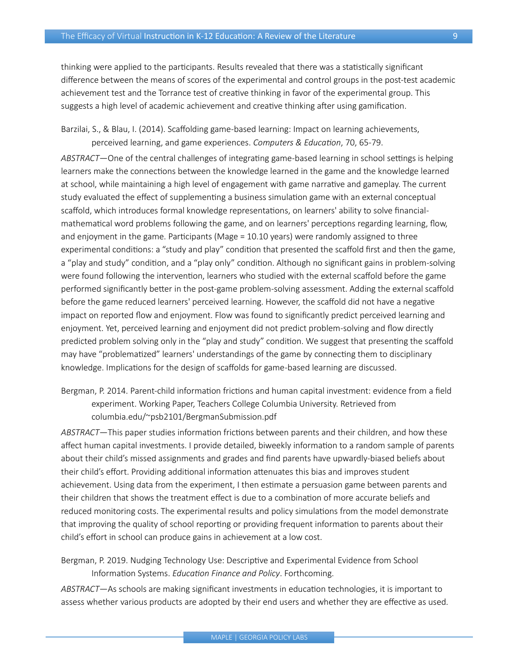thinking were applied to the participants. Results revealed that there was a statistically significant difference between the means of scores of the experimental and control groups in the post-test academic achievement test and the Torrance test of creative thinking in favor of the experimental group. This suggests a high level of academic achievement and creative thinking after using gamification.

Barzilai, S., & Blau, I. (2014). Scaffolding game-based learning: Impact on learning achievements, perceived learning, and game experiences. *Computers & Education*, 70, 65-79.

*ABSTRACT*—One of the central challenges of integrating game-based learning in school settings is helping learners make the connections between the knowledge learned in the game and the knowledge learned at school, while maintaining a high level of engagement with game narrative and gameplay. The current study evaluated the effect of supplementing a business simulation game with an external conceptual scaffold, which introduces formal knowledge representations, on learners' ability to solve financialmathematical word problems following the game, and on learners' perceptions regarding learning, flow, and enjoyment in the game. Participants (Mage = 10.10 years) were randomly assigned to three experimental conditions: a "study and play" condition that presented the scaffold first and then the game, a "play and study" condition, and a "play only" condition. Although no significant gains in problem-solving were found following the intervention, learners who studied with the external scaffold before the game performed significantly better in the post-game problem-solving assessment. Adding the external scaffold before the game reduced learners' perceived learning. However, the scaffold did not have a negative impact on reported flow and enjoyment. Flow was found to significantly predict perceived learning and enjoyment. Yet, perceived learning and enjoyment did not predict problem-solving and flow directly predicted problem solving only in the "play and study" condition. We suggest that presenting the scaffold may have "problematized" learners' understandings of the game by connecting them to disciplinary knowledge. Implications for the design of scaffolds for game-based learning are discussed.

Bergman, P. 2014. Parent-child information frictions and human capital investment: evidence from a field experiment. Working Paper, Teachers College Columbia University. Retrieved from [columbia.edu/~psb2101/BergmanSubmission.pdf](http://www.columbia.edu/~psb2101/BergmanSubmission.pdf)

*ABSTRACT*—This paper studies information frictions between parents and their children, and how these affect human capital investments. I provide detailed, biweekly information to a random sample of parents about their child's missed assignments and grades and find parents have upwardly-biased beliefs about their child's effort. Providing additional information attenuates this bias and improves student achievement. Using data from the experiment, I then estimate a persuasion game between parents and their children that shows the treatment effect is due to a combination of more accurate beliefs and reduced monitoring costs. The experimental results and policy simulations from the model demonstrate that improving the quality of school reporting or providing frequent information to parents about their child's effort in school can produce gains in achievement at a low cost.

Bergman, P. 2019. Nudging Technology Use: Descriptive and Experimental Evidence from School Information Systems. *Education Finance and Policy*. Forthcoming.

*ABSTRACT*—As schools are making significant investments in education technologies, it is important to assess whether various products are adopted by their end users and whether they are effective as used.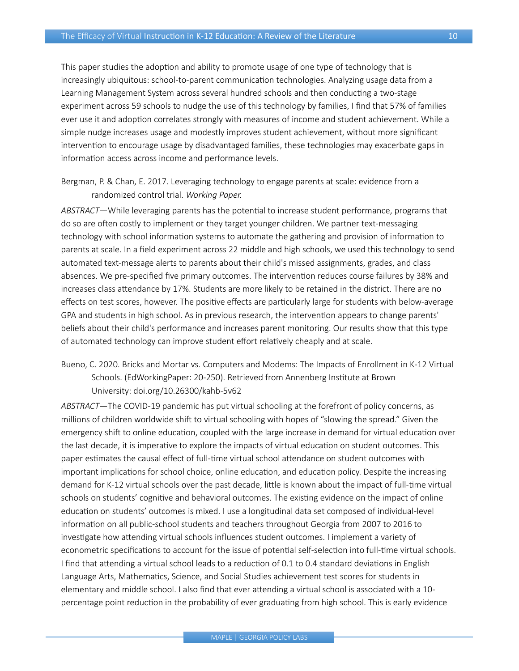This paper studies the adoption and ability to promote usage of one type of technology that is increasingly ubiquitous: school-to-parent communication technologies. Analyzing usage data from a Learning Management System across several hundred schools and then conducting a two-stage experiment across 59 schools to nudge the use of this technology by families, I find that 57% of families ever use it and adoption correlates strongly with measures of income and student achievement. While a simple nudge increases usage and modestly improves student achievement, without more significant intervention to encourage usage by disadvantaged families, these technologies may exacerbate gaps in information access across income and performance levels.

Bergman, P. & Chan, E. 2017. Leveraging technology to engage parents at scale: evidence from a randomized control trial. *Working Paper.* 

*ABSTRACT*—While leveraging parents has the potential to increase student performance, programs that do so are often costly to implement or they target younger children. We partner text-messaging technology with school information systems to automate the gathering and provision of information to parents at scale. In a field experiment across 22 middle and high schools, we used this technology to send automated text-message alerts to parents about their child's missed assignments, grades, and class absences. We pre-specified five primary outcomes. The intervention reduces course failures by 38% and increases class attendance by 17%. Students are more likely to be retained in the district. There are no effects on test scores, however. The positive effects are particularly large for students with below-average GPA and students in high school. As in previous research, the intervention appears to change parents' beliefs about their child's performance and increases parent monitoring. Our results show that this type of automated technology can improve student effort relatively cheaply and at scale.

Bueno, C. 2020. Bricks and Mortar vs. Computers and Modems: The Impacts of Enrollment in K-12 Virtual Schools. (EdWorkingPaper: 20-250). Retrieved from Annenberg Institute at Brown University: [doi.org/10.26300/kahb-5v62](https://doi.org/10.26300/kahb-5v62)

*ABSTRACT*—The COVID-19 pandemic has put virtual schooling at the forefront of policy concerns, as millions of children worldwide shift to virtual schooling with hopes of "slowing the spread." Given the emergency shift to online education, coupled with the large increase in demand for virtual education over the last decade, it is imperative to explore the impacts of virtual education on student outcomes. This paper estimates the causal effect of full-time virtual school attendance on student outcomes with important implications for school choice, online education, and education policy. Despite the increasing demand for K-12 virtual schools over the past decade, little is known about the impact of full-time virtual schools on students' cognitive and behavioral outcomes. The existing evidence on the impact of online education on students' outcomes is mixed. I use a longitudinal data set composed of individual-level information on all public-school students and teachers throughout Georgia from 2007 to 2016 to investigate how attending virtual schools influences student outcomes. I implement a variety of econometric specifications to account for the issue of potential self-selection into full-time virtual schools. I find that attending a virtual school leads to a reduction of 0.1 to 0.4 standard deviations in English Language Arts, Mathematics, Science, and Social Studies achievement test scores for students in elementary and middle school. I also find that ever attending a virtual school is associated with a 10 percentage point reduction in the probability of ever graduating from high school. This is early evidence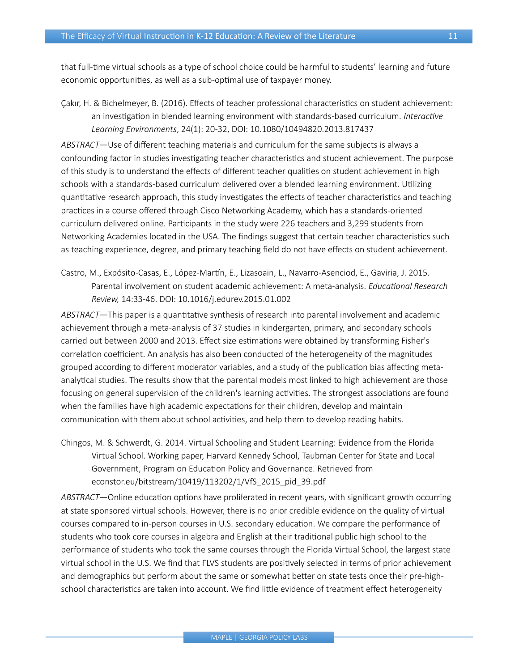that full-time virtual schools as a type of school choice could be harmful to students' learning and future economic opportunities, as well as a sub-optimal use of taxpayer money.

Çakır, H. & Bichelmeyer, B. (2016). Effects of teacher professional characteristics on student achievement: an investigation in blended learning environment with standards-based curriculum. *Interactive Learning Environments*, 24(1): 20-32, [DOI: 10.1080/10494820.2013.817437](https://www.tandfonline.com/doi/abs/10.1080/10494820.2013.817437?journalCode=nile20)

*ABSTRACT*—Use of different teaching materials and curriculum for the same subjects is always a confounding factor in studies investigating teacher characteristics and student achievement. The purpose of this study is to understand the effects of different teacher qualities on student achievement in high schools with a standards-based curriculum delivered over a blended learning environment. Utilizing quantitative research approach, this study investigates the effects of teacher characteristics and teaching practices in a course offered through Cisco Networking Academy, which has a standards-oriented curriculum delivered online. Participants in the study were 226 teachers and 3,299 students from Networking Academies located in the USA. The findings suggest that certain teacher characteristics such as teaching experience, degree, and primary teaching field do not have effects on student achievement.

Castro, M., Expósito-Casas, E., López-Martín, E., Lizasoain, L., Navarro-Asenciod, E., Gaviria, J. 2015. Parental involvement on student academic achievement: A meta-analysis. *Educational Research Review,* 14:33-46. [DOI: 10.1016/j.edurev.2015.01.002](https://doi.org/10.1016/j.edurev.2015.01.002)

*ABSTRACT*—This paper is a quantitative synthesis of research into parental involvement and academic achievement through a meta-analysis of 37 studies in kindergarten, primary, and secondary schools carried out between 2000 and 2013. Effect size estimations were obtained by transforming Fisher's correlation coefficient. An analysis has also been conducted of the heterogeneity of the magnitudes grouped according to different moderator variables, and a study of the publication bias affecting metaanalytical studies. The results show that the parental models most linked to high achievement are those focusing on general supervision of the children's learning activities. The strongest associations are found when the families have high academic expectations for their children, develop and maintain communication with them about school activities, and help them to develop reading habits.

Chingos, M. & Schwerdt, G. 2014. Virtual Schooling and Student Learning: Evidence from the Florida Virtual School. Working paper, Harvard Kennedy School, Taubman Center for State and Local Government, Program on Education Policy and Governance. Retrieved from [econstor.eu/bitstream/10419/113202/1/VfS\\_2015\\_pid\\_39.pdf](https://www.econstor.eu/bitstream/10419/113202/1/VfS_2015_pid_39.pdf)

*ABSTRACT*—Online education options have proliferated in recent years, with significant growth occurring at state sponsored virtual schools. However, there is no prior credible evidence on the quality of virtual courses compared to in-person courses in U.S. secondary education. We compare the performance of students who took core courses in algebra and English at their traditional public high school to the performance of students who took the same courses through the Florida Virtual School, the largest state virtual school in the U.S. We find that FLVS students are positively selected in terms of prior achievement and demographics but perform about the same or somewhat better on state tests once their pre-highschool characteristics are taken into account. We find little evidence of treatment effect heterogeneity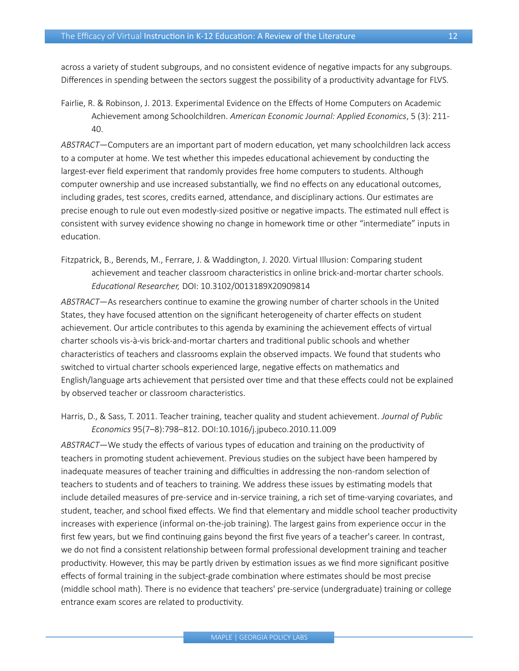across a variety of student subgroups, and no consistent evidence of negative impacts for any subgroups. Differences in spending between the sectors suggest the possibility of a productivity advantage for FLVS.

Fairlie, R. & Robinson, J. 2013. Experimental Evidence on the Effects of Home Computers on Academic Achievement among Schoolchildren. *American Economic Journal: Applied Economics*, 5 (3): 211- 40.

*ABSTRACT*—Computers are an important part of modern education, yet many schoolchildren lack access to a computer at home. We test whether this impedes educational achievement by conducting the largest-ever field experiment that randomly provides free home computers to students. Although computer ownership and use increased substantially, we find no effects on any educational outcomes, including grades, test scores, credits earned, attendance, and disciplinary actions. Our estimates are precise enough to rule out even modestly-sized positive or negative impacts. The estimated null effect is consistent with survey evidence showing no change in homework time or other "intermediate" inputs in education.

Fitzpatrick, B., Berends, M., Ferrare, J. & Waddington, J. 2020. Virtual Illusion: Comparing student achievement and teacher classroom characteristics in online brick-and-mortar charter schools. *Educational Researcher,* [DOI: 10.3102/0013189X20909814](https://doi.org/10.3102%2F0013189X20909814)

*ABSTRACT*—As researchers continue to examine the growing number of charter schools in the United States, they have focused attention on the significant heterogeneity of charter effects on student achievement. Our article contributes to this agenda by examining the achievement effects of virtual charter schools vis-à-vis brick-and-mortar charters and traditional public schools and whether characteristics of teachers and classrooms explain the observed impacts. We found that students who switched to virtual charter schools experienced large, negative effects on mathematics and English/language arts achievement that persisted over time and that these effects could not be explained by observed teacher or classroom characteristics.

Harris, D., & Sass, T. 2011. Teacher training, teacher quality and student achievement. *Journal of Public Economics* 95(7–8):798–812. DOI[:10.1016/j.jpubeco.2010.11.009](https://www.sciencedirect.com/science/article/abs/pii/S0047272710001696)

*ABSTRACT*—We study the effects of various types of education and training on the productivity of teachers in promoting student achievement. Previous studies on the subject have been hampered by inadequate measures of teacher training and difficulties in addressing the non-random selection of teachers to students and of teachers to training. We address these issues by estimating models that include detailed measures of pre-service and in-service training, a rich set of time-varying covariates, and student, teacher, and school fixed effects. We find that elementary and middle school teacher productivity increases with experience (informal on-the-job training). The largest gains from experience occur in the first few years, but we find continuing gains beyond the first five years of a teacher's career. In contrast, we do not find a consistent relationship between formal professional development training and teacher productivity. However, this may be partly driven by estimation issues as we find more significant positive effects of formal training in the subject-grade combination where estimates should be most precise (middle school math). There is no evidence that teachers' pre-service (undergraduate) training or college entrance exam scores are related to productivity.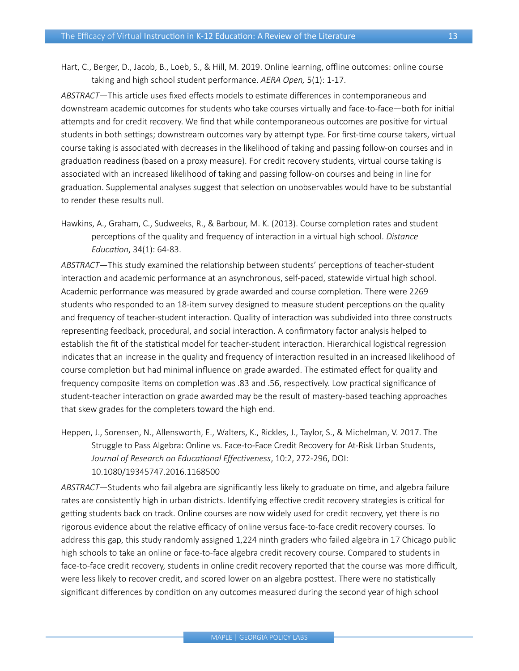Hart, C., Berger, D., Jacob, B., Loeb, S., & Hill, M. 2019. Online learning, offline outcomes: online course taking and high school student performance. *AERA Open,* 5(1): 1-17.

*ABSTRACT*—This article uses fixed effects models to estimate differences in contemporaneous and downstream academic outcomes for students who take courses virtually and face-to-face—both for initial attempts and for credit recovery. We find that while contemporaneous outcomes are positive for virtual students in both settings; downstream outcomes vary by attempt type. For first-time course takers, virtual course taking is associated with decreases in the likelihood of taking and passing follow-on courses and in graduation readiness (based on a proxy measure). For credit recovery students, virtual course taking is associated with an increased likelihood of taking and passing follow-on courses and being in line for graduation. Supplemental analyses suggest that selection on unobservables would have to be substantial to render these results null.

Hawkins, A., Graham, C., Sudweeks, R., & Barbour, M. K. (2013). Course completion rates and student perceptions of the quality and frequency of interaction in a virtual high school. *Distance Education*, 34(1): 64-83.

*ABSTRACT*—This study examined the relationship between students' perceptions of teacher-student interaction and academic performance at an asynchronous, self-paced, statewide virtual high school. Academic performance was measured by grade awarded and course completion. There were 2269 students who responded to an 18-item survey designed to measure student perceptions on the quality and frequency of teacher-student interaction. Quality of interaction was subdivided into three constructs representing feedback, procedural, and social interaction. A confirmatory factor analysis helped to establish the fit of the statistical model for teacher-student interaction. Hierarchical logistical regression indicates that an increase in the quality and frequency of interaction resulted in an increased likelihood of course completion but had minimal influence on grade awarded. The estimated effect for quality and frequency composite items on completion was .83 and .56, respectively. Low practical significance of student-teacher interaction on grade awarded may be the result of mastery-based teaching approaches that skew grades for the completers toward the high end.

Heppen, J., Sorensen, N., Allensworth, E., Walters, K., Rickles, J., Taylor, S., & Michelman, V. 2017. The Struggle to Pass Algebra: Online vs. Face-to-Face Credit Recovery for At-Risk Urban Students, *Journal of Research on Educational Effectiveness*, 10:2, 272-296, DOI: [10.1080/19345747.2016.1168500](https://www.tandfonline.com/doi/abs/10.1080/19345747.2016.1168500?journalCode=uree20)

*ABSTRACT*—Students who fail algebra are significantly less likely to graduate on time, and algebra failure rates are consistently high in urban districts. Identifying effective credit recovery strategies is critical for getting students back on track. Online courses are now widely used for credit recovery, yet there is no rigorous evidence about the relative efficacy of online versus face-to-face credit recovery courses. To address this gap, this study randomly assigned 1,224 ninth graders who failed algebra in 17 Chicago public high schools to take an online or face-to-face algebra credit recovery course. Compared to students in face-to-face credit recovery, students in online credit recovery reported that the course was more difficult, were less likely to recover credit, and scored lower on an algebra posttest. There were no statistically significant differences by condition on any outcomes measured during the second year of high school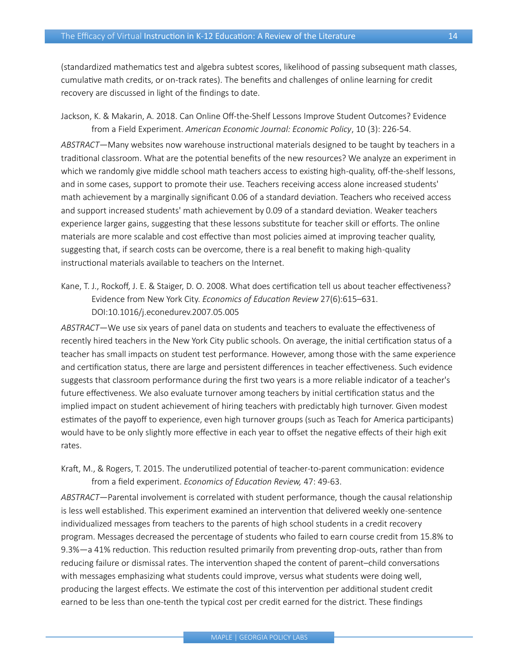(standardized mathematics test and algebra subtest scores, likelihood of passing subsequent math classes, cumulative math credits, or on-track rates). The benefits and challenges of online learning for credit recovery are discussed in light of the findings to date.

Jackson, K. & Makarin, A. 2018. Can Online Off-the-Shelf Lessons Improve Student Outcomes? Evidence from a Field Experiment. *American Economic Journal: Economic Policy*, 10 (3): 226-54.

*ABSTRACT*—Many websites now warehouse instructional materials designed to be taught by teachers in a traditional classroom. What are the potential benefits of the new resources? We analyze an experiment in which we randomly give middle school math teachers access to existing high-quality, off-the-shelf lessons, and in some cases, support to promote their use. Teachers receiving access alone increased students' math achievement by a marginally significant 0.06 of a standard deviation. Teachers who received access and support increased students' math achievement by 0.09 of a standard deviation. Weaker teachers experience larger gains, suggesting that these lessons substitute for teacher skill or efforts. The online materials are more scalable and cost effective than most policies aimed at improving teacher quality, suggesting that, if search costs can be overcome, there is a real benefit to making high-quality instructional materials available to teachers on the Internet.

Kane, T. J., Rockoff, J. E. & Staiger, D. O. 2008. What does certification tell us about teacher effectiveness? Evidence from New York City. *Economics of Education Review* 27(6):615–631. DOI[:10.1016/j.econedurev.2007.05.005](https://www.sciencedirect.com/science/article/abs/pii/S0272775707000775)

*ABSTRACT*—We use six years of panel data on students and teachers to evaluate the effectiveness of recently hired teachers in the New York City public schools. On average, the initial certification status of a teacher has small impacts on student test performance. However, among those with the same experience and certification status, there are large and persistent differences in teacher effectiveness. Such evidence suggests that classroom performance during the first two years is a more reliable indicator of a teacher's future effectiveness. We also evaluate turnover among teachers by initial certification status and the implied impact on student achievement of hiring teachers with predictably high turnover. Given modest estimates of the payoff to experience, even high turnover groups (such as Teach for America participants) would have to be only slightly more effective in each year to offset the negative effects of their high exit rates.

Kraft, M., & Rogers, T. 2015. The underutilized potential of teacher-to-parent communication: evidence from a field experiment. *Economics of Education Review,* 47: 49-63.

*ABSTRACT*—Parental involvement is correlated with student performance, though the causal relationship is less well established. This experiment examined an intervention that delivered weekly one-sentence individualized messages from teachers to the parents of high school students in a credit recovery program. Messages decreased the percentage of students who failed to earn course credit from 15.8% to 9.3%—a 41% reduction. This reduction resulted primarily from preventing drop-outs, rather than from reducing failure or dismissal rates. The intervention shaped the content of parent–child conversations with messages emphasizing what students could improve, versus what students were doing well, producing the largest effects. We estimate the cost of this intervention per additional student credit earned to be less than one-tenth the typical cost per credit earned for the district. These findings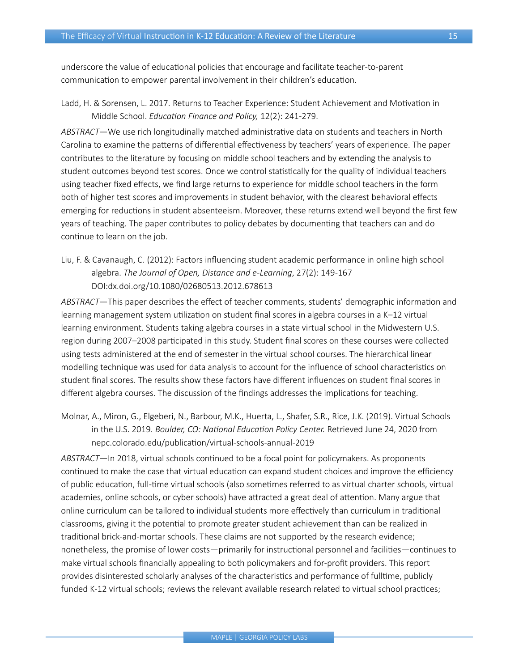underscore the value of educational policies that encourage and facilitate teacher-to-parent communication to empower parental involvement in their children's education.

Ladd, H. & Sorensen, L. 2017. Returns to Teacher Experience: Student Achievement and Motivation in Middle School. *Education Finance and Policy,* 12(2): 241-279.

*ABSTRACT*—We use rich longitudinally matched administrative data on students and teachers in North Carolina to examine the patterns of differential effectiveness by teachers' years of experience. The paper contributes to the literature by focusing on middle school teachers and by extending the analysis to student outcomes beyond test scores. Once we control statistically for the quality of individual teachers using teacher fixed effects, we find large returns to experience for middle school teachers in the form both of higher test scores and improvements in student behavior, with the clearest behavioral effects emerging for reductions in student absenteeism. Moreover, these returns extend well beyond the first few years of teaching. The paper contributes to policy debates by documenting that teachers can and do continue to learn on the job.

Liu, F. & Cavanaugh, C. (2012): Factors influencing student academic performance in online high school algebra. *The Journal of Open, Distance and e-Learning*, 27(2): 149-167 DOI[:dx.doi.org/10.1080/02680513.2012.678613](http://dx.doi.org/10.1080/02680513.2012.678613)

*ABSTRACT*—This paper describes the effect of teacher comments, students' demographic information and learning management system utilization on student final scores in algebra courses in a K–12 virtual learning environment. Students taking algebra courses in a state virtual school in the Midwestern U.S. region during 2007–2008 participated in this study. Student final scores on these courses were collected using tests administered at the end of semester in the virtual school courses. The hierarchical linear modelling technique was used for data analysis to account for the influence of school characteristics on student final scores. The results show these factors have different influences on student final scores in different algebra courses. The discussion of the findings addresses the implications for teaching.

Molnar, A., Miron, G., Elgeberi, N., Barbour, M.K., Huerta, L., Shafer, S.R., Rice, J.K. (2019). Virtual Schools in the U.S. 2019. *Boulder, CO: National Education Policy Center.* Retrieved June 24, 2020 from [nepc.colorado.edu/publication/virtual-schools-annual-2019](http://nepc.colorado.edu/publication/virtual-schools-annual-2019)

*ABSTRACT*—In 2018, virtual schools continued to be a focal point for policymakers. As proponents continued to make the case that virtual education can expand student choices and improve the efficiency of public education, full-time virtual schools (also sometimes referred to as virtual charter schools, virtual academies, online schools, or cyber schools) have attracted a great deal of attention. Many argue that online curriculum can be tailored to individual students more effectively than curriculum in traditional classrooms, giving it the potential to promote greater student achievement than can be realized in traditional brick-and-mortar schools. These claims are not supported by the research evidence; nonetheless, the promise of lower costs—primarily for instructional personnel and facilities—continues to make virtual schools financially appealing to both policymakers and for-profit providers. This report provides disinterested scholarly analyses of the characteristics and performance of fulltime, publicly funded K-12 virtual schools; reviews the relevant available research related to virtual school practices;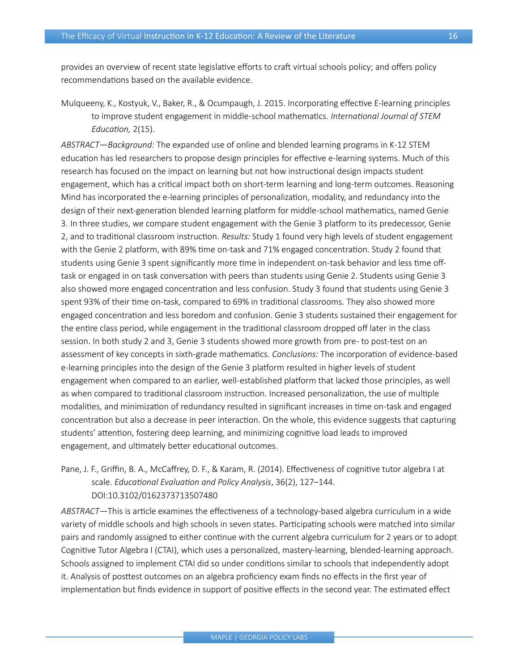provides an overview of recent state legislative efforts to craft virtual schools policy; and offers policy recommendations based on the available evidence.

Mulqueeny, K., Kostyuk, V., Baker, R., & Ocumpaugh, J. 2015. Incorporating effective E-learning principles to improve student engagement in middle-school mathematics. *International Journal of STEM Education,* 2(15).

*ABSTRACT*—*Background:* The expanded use of online and blended learning programs in K-12 STEM education has led researchers to propose design principles for effective e-learning systems. Much of this research has focused on the impact on learning but not how instructional design impacts student engagement, which has a critical impact both on short-term learning and long-term outcomes. Reasoning Mind has incorporated the e-learning principles of personalization, modality, and redundancy into the design of their next-generation blended learning platform for middle-school mathematics, named Genie 3. In three studies, we compare student engagement with the Genie 3 platform to its predecessor, Genie 2, and to traditional classroom instruction. *Results:* Study 1 found very high levels of student engagement with the Genie 2 platform, with 89% time on-task and 71% engaged concentration. Study 2 found that students using Genie 3 spent significantly more time in independent on-task behavior and less time offtask or engaged in on task conversation with peers than students using Genie 2. Students using Genie 3 also showed more engaged concentration and less confusion. Study 3 found that students using Genie 3 spent 93% of their time on-task, compared to 69% in traditional classrooms. They also showed more engaged concentration and less boredom and confusion. Genie 3 students sustained their engagement for the entire class period, while engagement in the traditional classroom dropped off later in the class session. In both study 2 and 3, Genie 3 students showed more growth from pre- to post-test on an assessment of key concepts in sixth-grade mathematics. *Conclusions:* The incorporation of evidence-based e-learning principles into the design of the Genie 3 platform resulted in higher levels of student engagement when compared to an earlier, well-established platform that lacked those principles, as well as when compared to traditional classroom instruction. Increased personalization, the use of multiple modalities, and minimization of redundancy resulted in significant increases in time on-task and engaged concentration but also a decrease in peer interaction. On the whole, this evidence suggests that capturing students' attention, fostering deep learning, and minimizing cognitive load leads to improved engagement, and ultimately better educational outcomes.

Pane, J. F., Griffin, B. A., McCaffrey, D. F., & Karam, R. (2014). Effectiveness of cognitive tutor algebra I at scale. *Educational Evaluation and Policy Analysis*, 36(2), 127–144. DOI[:10.3102/0162373713507480](https://www.researchgate.net/publication/259639036_Effectiveness_of_Cognitive_Tutor_Algebra_I_at_Scale)

*ABSTRACT*—This is article examines the effectiveness of a technology-based algebra curriculum in a wide variety of middle schools and high schools in seven states. Participating schools were matched into similar pairs and randomly assigned to either continue with the current algebra curriculum for 2 years or to adopt Cognitive Tutor Algebra I (CTAI), which uses a personalized, mastery-learning, blended-learning approach. Schools assigned to implement CTAI did so under conditions similar to schools that independently adopt it. Analysis of posttest outcomes on an algebra proficiency exam finds no effects in the first year of implementation but finds evidence in support of positive effects in the second year. The estimated effect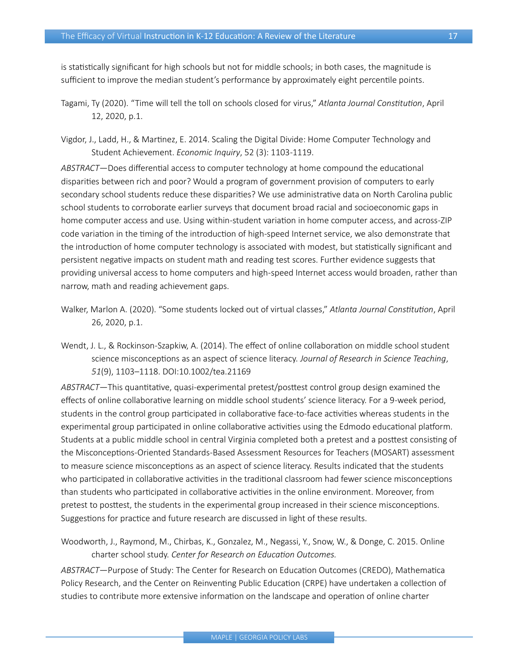is statistically significant for high schools but not for middle schools; in both cases, the magnitude is sufficient to improve the median student's performance by approximately eight percentile points.

- Tagami, Ty (2020). "Time will tell the toll on schools closed for virus," *Atlanta Journal Constitution*, April 12, 2020, p.1.
- Vigdor, J., Ladd, H., & Martinez, E. 2014. Scaling the Digital Divide: Home Computer Technology and Student Achievement. *Economic Inquiry*, 52 (3): 1103-1119.

*ABSTRACT*—Does differential access to computer technology at home compound the educational disparities between rich and poor? Would a program of government provision of computers to early secondary school students reduce these disparities? We use administrative data on North Carolina public school students to corroborate earlier surveys that document broad racial and socioeconomic gaps in home computer access and use. Using within-student variation in home computer access, and across-ZIP code variation in the timing of the introduction of high-speed Internet service, we also demonstrate that the introduction of home computer technology is associated with modest, but statistically significant and persistent negative impacts on student math and reading test scores. Further evidence suggests that providing universal access to home computers and high-speed Internet access would broaden, rather than narrow, math and reading achievement gaps.

- Walker, Marlon A. (2020). "Some students locked out of virtual classes," *Atlanta Journal Constitution*, April 26, 2020, p.1.
- Wendt, J. L., & Rockinson-Szapkiw, A. (2014). The effect of online collaboration on middle school student science misconceptions as an aspect of science literacy. *Journal of Research in Science Teaching*, *51*(9), 1103–1118. DOI[:10.1002/tea.21169](https://onlinelibrary.wiley.com/doi/abs/10.1002/tea.21169)

*ABSTRACT*—This quantitative, quasi-experimental pretest/posttest control group design examined the effects of online collaborative learning on middle school students' science literacy. For a 9-week period, students in the control group participated in collaborative face-to-face activities whereas students in the experimental group participated in online collaborative activities using the Edmodo educational platform. Students at a public middle school in central Virginia completed both a pretest and a posttest consisting of the Misconceptions-Oriented Standards-Based Assessment Resources for Teachers (MOSART) assessment to measure science misconceptions as an aspect of science literacy. Results indicated that the students who participated in collaborative activities in the traditional classroom had fewer science misconceptions than students who participated in collaborative activities in the online environment. Moreover, from pretest to posttest, the students in the experimental group increased in their science misconceptions. Suggestions for practice and future research are discussed in light of these results.

Woodworth, J., Raymond, M., Chirbas, K., Gonzalez, M., Negassi, Y., Snow, W., & Donge, C. 2015. Online charter school study. *Center for Research on Education Outcomes.*

*ABSTRACT*—Purpose of Study: The Center for Research on Education Outcomes (CREDO), Mathematica Policy Research, and the Center on Reinventing Public Education (CRPE) have undertaken a collection of studies to contribute more extensive information on the landscape and operation of online charter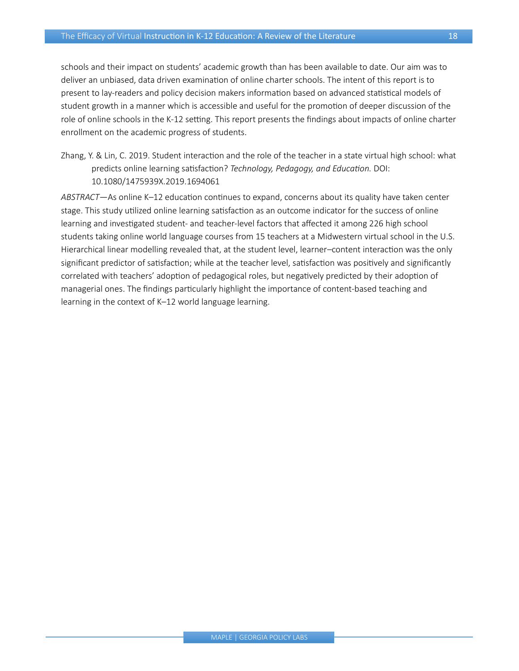schools and their impact on students' academic growth than has been available to date. Our aim was to deliver an unbiased, data driven examination of online charter schools. The intent of this report is to present to lay-readers and policy decision makers information based on advanced statistical models of student growth in a manner which is accessible and useful for the promotion of deeper discussion of the role of online schools in the K-12 setting. This report presents the findings about impacts of online charter enrollment on the academic progress of students.

Zhang, Y. & Lin, C. 2019. Student interaction and the role of the teacher in a state virtual high school: what predicts online learning satisfaction? *Technology, Pedagogy, and Education.* DOI: [10.1080/1475939X.2019.1694061](https://www.tandfonline.com/doi/abs/10.1080/1475939X.2019.1694061?journalCode=rtpe20)

*ABSTRACT*—As online K–12 education continues to expand, concerns about its quality have taken center stage. This study utilized online learning satisfaction as an outcome indicator for the success of online learning and investigated student- and teacher-level factors that affected it among 226 high school students taking online world language courses from 15 teachers at a Midwestern virtual school in the U.S. Hierarchical linear modelling revealed that, at the student level, learner–content interaction was the only significant predictor of satisfaction; while at the teacher level, satisfaction was positively and significantly correlated with teachers' adoption of pedagogical roles, but negatively predicted by their adoption of managerial ones. The findings particularly highlight the importance of content-based teaching and learning in the context of K–12 world language learning.